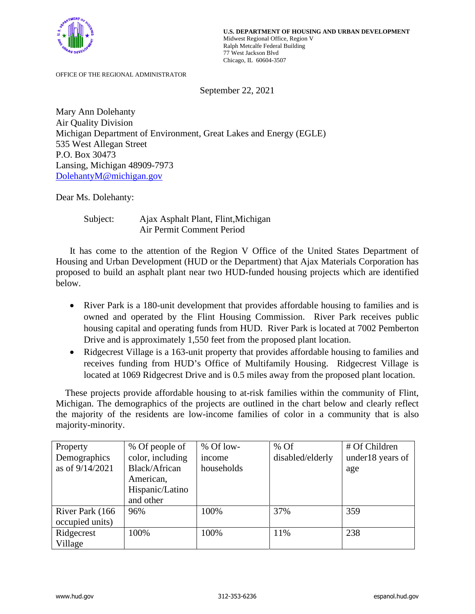

OFFICE OF THE REGIONAL ADMINISTRATOR

September 22, 2021

Mary Ann Dolehanty Air Quality Division Michigan Department of Environment, Great Lakes and Energy (EGLE) 535 West Allegan Street P.O. Box 30473 Lansing, Michigan 48909-7973 DolehantyM@michigan.gov

Dear Ms. Dolehanty:

Subject: Ajax Asphalt Plant, Flint,Michigan Air Permit Comment Period

It has come to the attention of the Region V Office of the United States Department of Housing and Urban Development (HUD or the Department) that Ajax Materials Corporation has proposed to build an asphalt plant near two HUD-funded housing projects which are identified below.

- River Park is a 180-unit development that provides affordable housing to families and is owned and operated by the Flint Housing Commission. River Park receives public housing capital and operating funds from HUD. River Park is located at 7002 Pemberton Drive and is approximately 1,550 feet from the proposed plant location.
- Ridgecrest Village is a 163-unit property that provides affordable housing to families and receives funding from HUD's Office of Multifamily Housing. Ridgecrest Village is located at 1069 Ridgecrest Drive and is 0.5 miles away from the proposed plant location.

 These projects provide affordable housing to at-risk families within the community of Flint, Michigan. The demographics of the projects are outlined in the chart below and clearly reflect the majority of the residents are low-income families of color in a community that is also majority-minority.

| Property        | % Of people of   | % Of low-  | % Of             | # Of Children    |
|-----------------|------------------|------------|------------------|------------------|
| Demographics    | color, including | income     | disabled/elderly | under18 years of |
| as of 9/14/2021 | Black/African    | households |                  | age              |
|                 | American,        |            |                  |                  |
|                 | Hispanic/Latino  |            |                  |                  |
|                 | and other        |            |                  |                  |
| River Park (166 | 96%              | 100%       | 37%              | 359              |
| occupied units) |                  |            |                  |                  |
| Ridgecrest      | 100%             | 100%       | 11%              | 238              |
| Village         |                  |            |                  |                  |